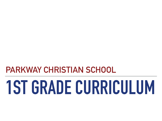# **PARKWAY CHRISTIAN SCHOOL**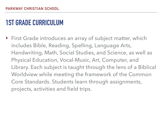‣ First Grade introduces an array of subject matter, which includes Bible, Reading, Spelling, Language Arts, Handwriting, Math, Social Studies, and Science, as well as Physical Education, Vocal-Music, Art, Computer, and Library. Each subject is taught through the lens of a Biblical Worldview while meeting the framework of the Common Core Standards. Students learn through assignments, projects, activities and field trips.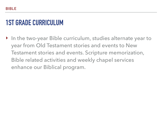‣ In the two-year Bible curriculum, studies alternate year to year from Old Testament stories and events to New Testament stories and events. Scripture memorization, Bible related activities and weekly chapel services enhance our Biblical program.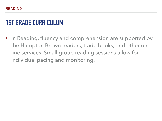‣ In Reading, fluency and comprehension are supported by the Hampton Brown readers, trade books, and other online services. Small group reading sessions allow for individual pacing and monitoring.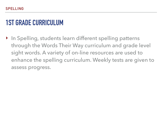▶ In Spelling, students learn different spelling patterns through the Words Their Way curriculum and grade level sight words. A variety of on-line resources are used to enhance the spelling curriculum. Weekly tests are given to assess progress.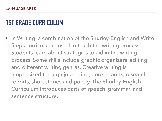‣ In Writing, a combination of the Shurley-English and Write Steps curricula are used to teach the writing process. Students learn about strategies to aid in the writing process. Some skills include graphic organizers, editing, and different writing genres. Creative writing is emphasized through journaling, book reports, research reports, short stories and poetry. The Shurley-English Curriculum introduces parts of speech, grammar, and sentence structure.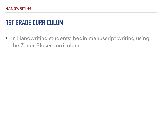‣ In Handwriting students' begin manuscript writing using the Zaner-Bloser curriculum.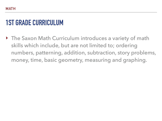‣ The Saxon Math Curriculum introduces a variety of math skills which include, but are not limited to; ordering numbers, patterning, addition, subtraction, story problems, money, time, basic geometry, measuring and graphing.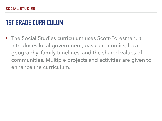‣ The Social Studies curriculum uses Scott-Foresman. It introduces local government, basic economics, local geography, family timelines, and the shared values of communities. Multiple projects and activities are given to enhance the curriculum.